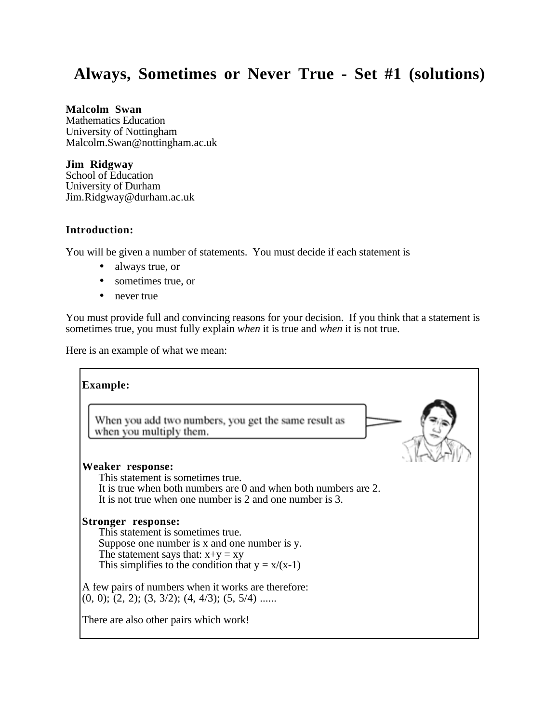# **Always, Sometimes or Never True - Set #1 (solutions)**

#### **Malcolm Swan**

Mathematics Education University of Nottingham Malcolm.Swan@nottingham.ac.uk

## **Jim Ridgway**

School of Education University of Durham Jim.Ridgway@durham.ac.uk

## **Introduction:**

You will be given a number of statements. You must decide if each statement is

- always true, or
- sometimes true, or
- never true

You must provide full and convincing reasons for your decision. If you think that a statement is sometimes true, you must fully explain *when* it is true and *when* it is not true.

Here is an example of what we mean:

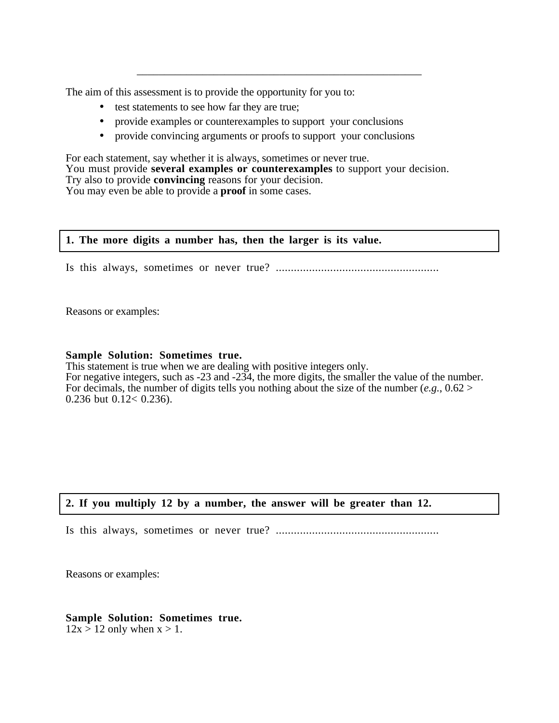The aim of this assessment is to provide the opportunity for you to:

- test statements to see how far they are true;
- provide examples or counterexamples to support your conclusions
- provide convincing arguments or proofs to support your conclusions

\_\_\_\_\_\_\_\_\_\_\_\_\_\_\_\_\_\_\_\_\_\_\_\_\_\_\_\_\_\_\_\_\_\_\_\_\_\_\_\_\_\_\_\_\_\_\_\_\_\_\_\_

For each statement, say whether it is always, sometimes or never true. You must provide **several examples or counterexamples** to support your decision. Try also to provide **convincing** reasons for your decision. You may even be able to provide a **proof** in some cases.

#### **1. The more digits a number has, then the larger is its value.**

Is this always, sometimes or never true? ......................................................

Reasons or examples:

#### **Sample Solution: Sometimes true.**

This statement is true when we are dealing with positive integers only. For negative integers, such as -23 and -234, the more digits, the smaller the value of the number. For decimals, the number of digits tells you nothing about the size of the number  $(e.g., 0.62 >$ 0.236 but 0.12< 0.236).

## **2. If you multiply 12 by a number, the answer will be greater than 12.**

Is this always, sometimes or never true? ......................................................

Reasons or examples:

#### **Sample Solution: Sometimes true.**  $12x > 12$  only when  $x > 1$ .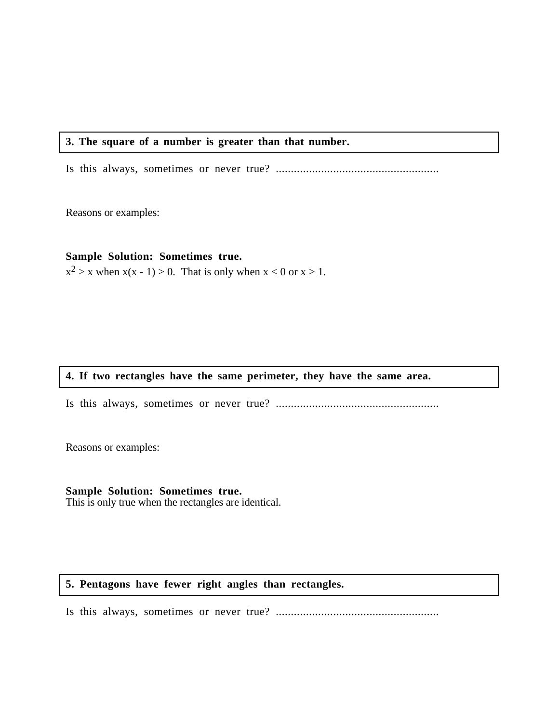## **3. The square of a number is greater than that number.**

Is this always, sometimes or never true? ......................................................

Reasons or examples:

#### **Sample Solution: Sometimes true.**

 $x^2 > x$  when  $x(x - 1) > 0$ . That is only when  $x < 0$  or  $x > 1$ .

## **4. If two rectangles have the same perimeter, they have the same area.**

Is this always, sometimes or never true? ......................................................

Reasons or examples:

# **Sample Solution: Sometimes true.**

This is only true when the rectangles are identical.

## **5. Pentagons have fewer right angles than rectangles.**

Is this always, sometimes or never true? ......................................................